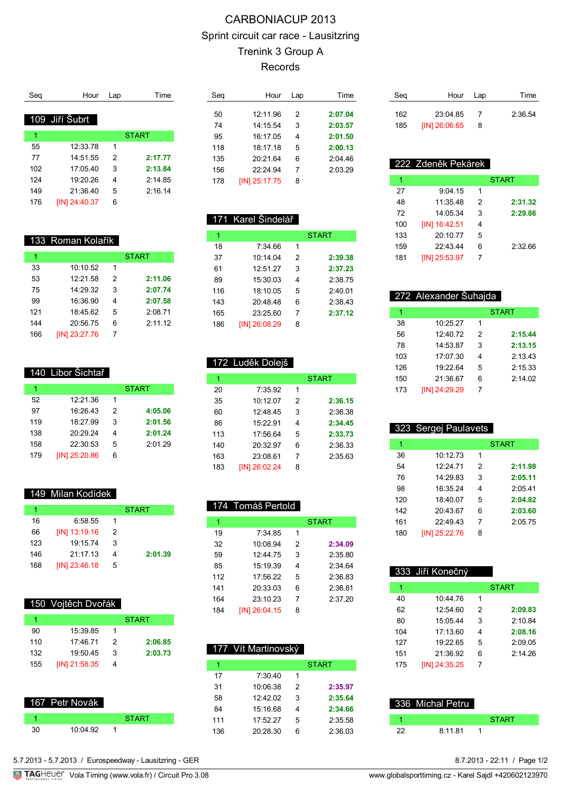# CARBONIACUP 2013 Sprint circuit car race - Lausitzring Trenink 3 Group A Records

| Hour           | Lap      | Time         |
|----------------|----------|--------------|
|                |          |              |
| 109 Jiří Šubrt |          |              |
|                |          | <b>START</b> |
|                |          |              |
|                |          |              |
| 14:51.55       | 2        | 2:17.77      |
| 17.0540        | 3        | 2:13.84      |
| 19:20.26       | 4        | 2:14.85      |
| 21:36.40       | 5        | 2:16.14      |
| [IN] 24:40.37  | 6        |              |
|                | 12:33.78 | 1            |

|  | 133 Roman Kolařík |  |
|--|-------------------|--|
|  |                   |  |

| 1   |               |   | <b>START</b> |
|-----|---------------|---|--------------|
| 33  | 10:10.52      | 1 |              |
| 53  | 12:21.58      | 2 | 2:11.06      |
| 75  | 14:29.32      | 3 | 2:07.74      |
| 99  | 16:36.90      | 4 | 2:07.58      |
| 121 | 18:45.62      | 5 | 2:08.71      |
| 144 | 20:56.75      | 6 | 2:11.12      |
| 166 | [IN] 23:27.76 |   |              |

| 1   |               |   | <b>START</b> |
|-----|---------------|---|--------------|
| 52  | 12:21.36      | 1 |              |
| 97  | 16:26.43      | 2 | 4:05.06      |
| 119 | 18:27.99      | 3 | 2:01.56      |
| 138 | 20:29.24      | 4 | 2:01.24      |
| 158 | 22:30.53      | 5 | 2:01.29      |
| 179 | [IN] 25:20.86 | 6 |              |

#### 149 Milan Kodídek

| 1   |               |   | <b>START</b> |
|-----|---------------|---|--------------|
| 16  | 6:58.55       |   |              |
| 66  | [IN] 13:19.16 | 2 |              |
| 123 | 19:15.74      | 3 |              |
| 146 | 21:17.13      | 4 | 2:01.39      |
| 168 | [IN] 23:46.18 | 5 |              |

150 Vojtěch Dvořák

|     |                 |   | <b>START</b> |
|-----|-----------------|---|--------------|
| 90  | 15:39.85        |   |              |
| 110 | 17.4671         | 2 | 2:06.85      |
| 132 | 19:50.45        | 3 | 2:03.73      |
| 155 | $[IN]$ 21:58.35 | 4 |              |

| 67 Petr Novák |              |  |
|---------------|--------------|--|
|               | <b>START</b> |  |
| 10:04.92      |              |  |

| Sea | Hour          | Lap | Time    |
|-----|---------------|-----|---------|
|     |               |     |         |
| 50  | 12:11.96      | 2   | 2:07.04 |
| 74  | 14.15.54      | 3   | 2:03.57 |
| 95  | 16:17.05      | 4   | 2:01.50 |
| 118 | 18.1718       | 5   | 2:00.13 |
| 135 | 20:21.64      | 6   | 2:04.46 |
| 156 | 22.2494       | 7   | 2:03.29 |
| 178 | [IN] 25:17.75 | 8   |         |
|     |               |     |         |

171 Karel Šindelář

7:34.66 1

[IN] 26:08.29 8

172 Luděk Dolejš

1 START

 10:14.04 2 **2:39.38** 12:51.27 3 **2:37.23** 15:30.03 4 2:38.75 18:10.05 5 2:40.01 20:48.48 6 2:38.43 23:25.60 7 **2:37.12**

| Seg | Hour Lap      |   | Time    |
|-----|---------------|---|---------|
| 162 | 23:04.85      |   | 2:36.54 |
| 185 | [IN] 26:06.65 | 8 |         |

| 222 Zdeněk Pekárek |               |   |              |
|--------------------|---------------|---|--------------|
| 1                  |               |   | <b>START</b> |
| 27                 | 9.0415        | 1 |              |
| 48                 | 11:35.48      | 2 | 2:31.32      |
| 72                 | 14:05.34      | 3 | 2:29.86      |
| 100                | [IN] 16:42.51 | 4 |              |
| 133                | 20:10.77      | 5 |              |
| 159                | 22:43.44      | 6 | 2.3266       |
| 181                | [IN] 25:53.97 | 7 |              |

| 272 Alexander Šuhajda |                     |   |              |
|-----------------------|---------------------|---|--------------|
| 1                     |                     |   | <b>START</b> |
| 38                    | 10:25.27            | 1 |              |
| 56                    | 12:40.72            | 2 | 2:15.44      |
| 78                    | 14:53.87            | 3 | 2:13.15      |
| 103                   | 17:07.30            | 4 | 2:13.43      |
| 126                   | 19:22.64            | 5 | 2:15.33      |
| 150                   | 21:36.67            | 6 | 2:14.02      |
| 173                   | <b>IIN124:29.29</b> |   |              |

| 323 Sergej Paulavets |                     |   |              |  |  |
|----------------------|---------------------|---|--------------|--|--|
| 1                    |                     |   | <b>START</b> |  |  |
| 36                   | 10:12.73            | 1 |              |  |  |
| 54                   | 12.2471             | 2 | 2:11.98      |  |  |
| 76                   | 14.2983             | 3 | 2:05.11      |  |  |
| 98                   | 16:35.24            | 4 | 2.0541       |  |  |
| 120                  | 18:40.07            | 5 | 2:04.82      |  |  |
| 142                  | 20:43.67            | 6 | 2:03.60      |  |  |
| 161                  | 22.4943             | 7 | 2:05.75      |  |  |
| 180                  | <b>IIN125:22.76</b> | 8 |              |  |  |

|     | 333 Jiří Konečný |               |              |
|-----|------------------|---------------|--------------|
| 1   |                  |               | <b>START</b> |
| 40  | 10:44.76         | 1             |              |
| 62  | 12:54.60         | $\mathcal{P}$ | 2:09.83      |
| 80  | 15:05.44         | 3             | 2:10.84      |
| 104 | 17:13.60         | 4             | 2:08.16      |
| 127 | 19:22.65         | 5             | 2:09.05      |
| 151 | 21:36.92         | 6             | 2.14.26      |
| 175 | IIN1 24:35.25    |               |              |

|    | 336 Michal Petru |              |
|----|------------------|--------------|
|    |                  | <b>START</b> |
| フフ | 8.11.81          |              |

|  | --<br>$\sim$ |  |
|--|--------------|--|
|  |              |  |

| 20  | 7:35.92             | 1 |         |
|-----|---------------------|---|---------|
| 35  | 10:12.07            | 2 | 2:36.15 |
| 60  | 12:48.45            | 3 | 2:36.38 |
| 86  | 15:22.91            | 4 | 2:34.45 |
| 113 | 17:5664             | 5 | 2:33.73 |
| 140 | 20:32.97            | 6 | 2:36.33 |
| 163 | 23:08.61            | 7 | 2:35.63 |
| 183 | <b>IIN126:02.24</b> | 8 |         |

**START** 

#### 174 Tomáš Pertold

| 1   |               |   | START   |
|-----|---------------|---|---------|
| 19  | 7.34.85       | 1 |         |
| 32  | 10:08.94      | 2 | 2:34.09 |
| 59  | 12:44 75      | 3 | 2.35.80 |
| 85  | 15:19.39      | 4 | 2.3464  |
| 112 | 17:56.22      | 5 | 2.36.83 |
| 141 | 20:33.03      | 6 | 2.36.81 |
| 164 | 23:10.23      | 7 | 2.37.20 |
| 184 | [IN] 26:04.15 | 8 |         |

|     | 177 Vít Martinovský |   |              |
|-----|---------------------|---|--------------|
| 1   |                     |   | <b>START</b> |
| 17  | 7:30.40             | 1 |              |
| 31  | 10:06.38            | 2 | 2:35.97      |
| 58  | 12.4202             | 3 | 2:35.64      |
| 84  | 15:1668             | 4 | 2:34.66      |
| 111 | 17:52.27            | 5 | 2:35.58      |
| 136 | 20:28.30            | հ | 2:36.03      |
|     |                     |   |              |

5.7.2013 - 5.7.2013 / Eurospeedway - Lausitzring - GER